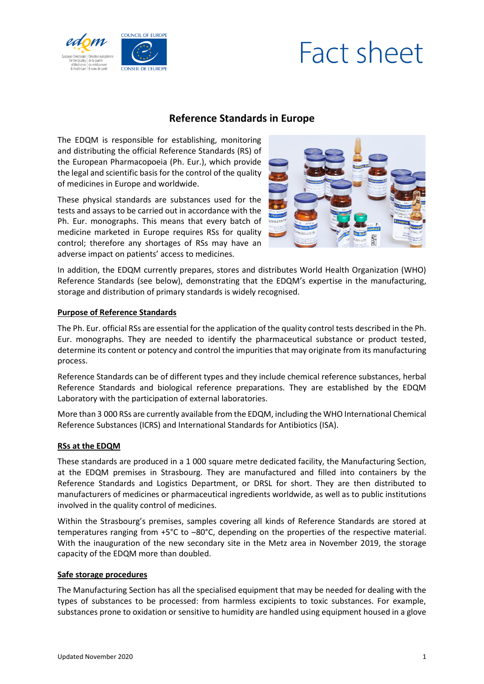



# **Reference Standards in Europe**

The EDQM is responsible for establishing, monitoring and distributing the official Reference Standards (RS) of the European Pharmacopoeia (Ph. Eur.), which provide the legal and scientific basis for the control of the quality of medicines in Europe and worldwide.

These physical standards are substances used for the tests and assays to be carried out in accordance with the Ph. Eur. monographs. This means that every batch of medicine marketed in Europe requires RSs for quality control; therefore any shortages of RSs may have an adverse impact on patients' access to medicines.



In addition, the EDQM currently prepares, stores and distributes World Health Organization (WHO) Reference Standards (see below), demonstrating that the EDQM's expertise in the manufacturing, storage and distribution of primary standards is widely recognised.

# **Purpose of Reference Standards**

The Ph. Eur. official RSs are essential for the application of the quality control tests described in the Ph. Eur. monographs. They are needed to identify the pharmaceutical substance or product tested, determine its content or potency and control the impurities that may originate from its manufacturing process.

Reference Standards can be of different types and they include chemical reference substances, herbal Reference Standards and biological reference preparations. They are established by the EDQM Laboratory with the participation of external laboratories.

More than 3 000 RSs are currently available from the EDQM, including the WHO International Chemical Reference Substances (ICRS) and International Standards for Antibiotics (ISA).

### **RSs at the EDQM**

These standards are produced in a 1 000 square metre dedicated facility, the Manufacturing Section, at the EDQM premises in Strasbourg. They are manufactured and filled into containers by the Reference Standards and Logistics Department, or DRSL for short. They are then distributed to manufacturers of medicines or pharmaceutical ingredients worldwide, as well as to public institutions involved in the quality control of medicines.

Within the Strasbourg's premises, samples covering all kinds of Reference Standards are stored at temperatures ranging from +5°C to –80°C, depending on the properties of the respective material. With the inauguration of the new secondary site in the Metz area in November 2019, the storage capacity of the EDQM more than doubled.

### **Safe storage procedures**

The Manufacturing Section has all the specialised equipment that may be needed for dealing with the types of substances to be processed: from harmless excipients to toxic substances. For example, substances prone to oxidation or sensitive to humidity are handled using equipment housed in a glove